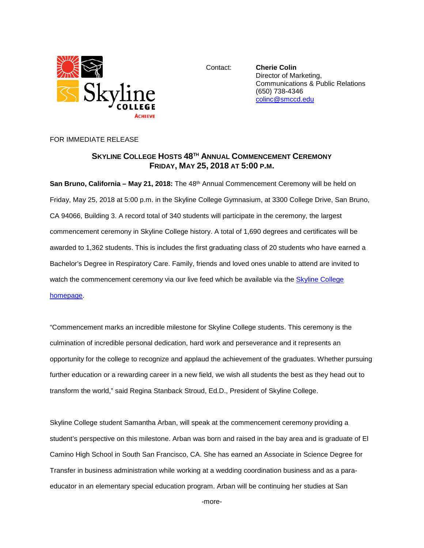

Contact: **Cherie Colin** Director of Marketing, Communications & Public Relations (650) 738-4346 [colinc@smccd.edu](mailto:colinc@smccd.edu) 

FOR IMMEDIATE RELEASE

## **SKYLINE COLLEGE HOSTS 48TH ANNUAL COMMENCEMENT CEREMONY FRIDAY, MAY 25, 2018 AT 5:00 P.M.**

**San Bruno, California – May 21, 2018:** The 48th Annual Commencement Ceremony will be held on Friday, May 25, 2018 at 5:00 p.m. in the Skyline College Gymnasium, at 3300 College Drive, San Bruno, CA 94066, Building 3. A record total of 340 students will participate in the ceremony, the largest commencement ceremony in Skyline College history. A total of 1,690 degrees and certificates will be awarded to 1,362 students. This is includes the first graduating class of 20 students who have earned a Bachelor's Degree in Respiratory Care. Family, friends and loved ones unable to attend are invited to watch the commencement ceremony via our live feed which be available via the Skyline College [homepage.](http://www.skylinecollege.edu/) 

"Commencement marks an incredible milestone for Skyline College students. This ceremony is the culmination of incredible personal dedication, hard work and perseverance and it represents an opportunity for the college to recognize and applaud the achievement of the graduates. Whether pursuing further education or a rewarding career in a new field, we wish all students the best as they head out to transform the world," said Regina Stanback Stroud, Ed.D., President of Skyline College.

Skyline College student Samantha Arban, will speak at the commencement ceremony providing a student's perspective on this milestone. Arban was born and raised in the bay area and is graduate of El Camino High School in South San Francisco, CA. She has earned an Associate in Science Degree for Transfer in business administration while working at a wedding coordination business and as a paraeducator in an elementary special education program. Arban will be continuing her studies at San